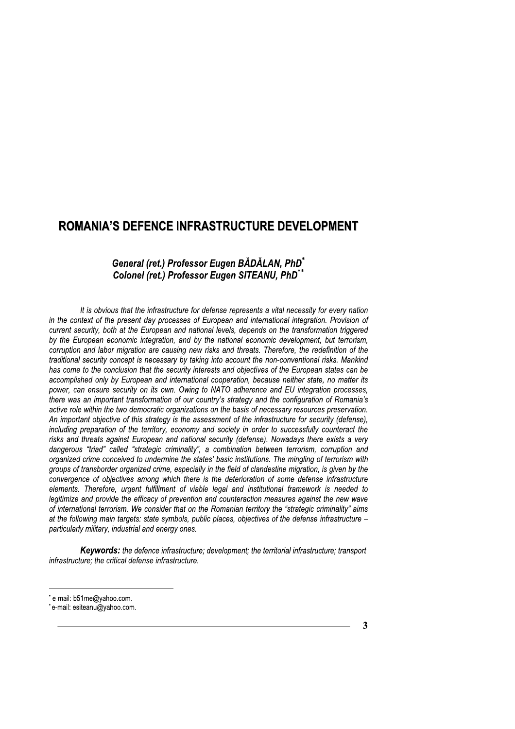## General (ret.) Professor Eugen BADALAN, PhD<sup>\*</sup> Colonel (ret.) Professor Eugen SITEANU, PhD<sup>\*\*</sup>

**ROMANIA'S DEFENCE INFRASTRUCTURE DEVELOPMENT**<br> **General (ret.) Professor Eugen BÄDÄLAN, PhD<sup>\*\*</sup>**<br> **Colonel (ret.) Professor Eugen SITEANU, PhD<sup>\*\*</sup><br>
It is obvious that the infrastructure for defense represents a vital nece** It is obvious that the infrastructure for defense represents a vital necessity for every hation  $\overline{\phantom{a}}$ in the context of the present day processes of European and international integration. Provision of current security, poth at the European and hational levels, depends on the transformation triggered by the European economic integration, and by the national economic development, but terrorism, corruption and labor migration are causing new risks and threats. Therefore, the redefinition of the traditional security concept is necessary by taking into account the non-conventional risks. Manking has come to the conclusion that the security interests and objectives of the European states can be accomplished only by European and international cooperation, because heither state, no matter its power, can ensure security on its own. Owing to NATO adherence and EU integration processes, there was an important transformation of our country's strategy and the configuration of Romania's active role within the two democratic organizations on the basis of necessary resources preservation. An important objective of this strategy is the assessment of the infrastructure for security (defense), including preparation of the territory, economy and society in order to successfully counteract the risks and threats against European and national security (defense). Nowadays there exists a very dangerous triad called strategic criminality", a combination between terrorism, corruption and organized crime conceived to undermine the states basic institutions. The mingling of terrorism with groups of transborder organized crime, especially in the field of clandestine migration, is given by the convergence or objectives among which there is the deterioration or some detense infrastructure elements. Therefore, urgent fulfillment of viable legal and institutional framework is needed to legitimize and provide the efficacy of prevention and counteraction measures against the new wave or international terrorism. We consider that on the Romanian territory the "strategic criminality" aims at the following main targets: state symbols, public places, objectives of the defense infrastructure – particularly military, industrial and energy ones.

 $\mathbb{R}^2$ Keywords: the defence infrastructure; development; the territorial infrastructure; transport infrastructure; the critical defense infrastructure.

e-mail: b51me@yahoo.com.

e-mail: esiteanu@yahoo.com.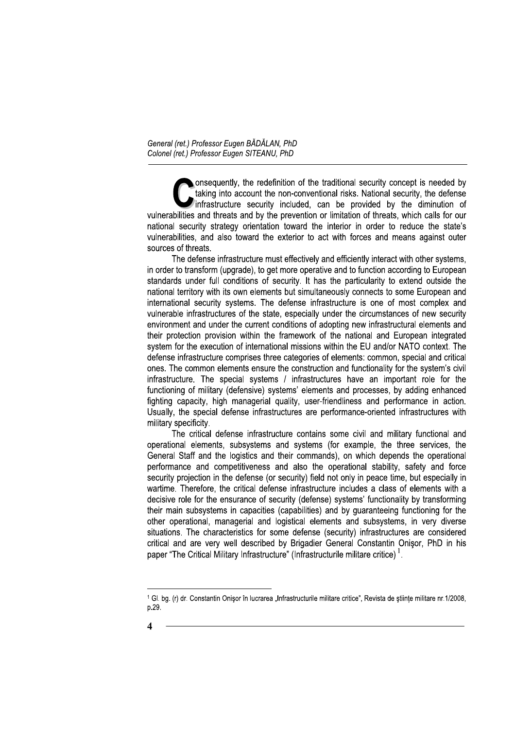onsequently, the redefinition of the traditional security concept is needed by taking into account the non-conventional risks. National security, the defense infrastructure security included, can be provided by the diminution of vulnerabilities and threats and by the prevention or limitation of threats, which calls for our national security strategy orientation toward the interior in order to reduce the state's vulnerabilities, and also toward the exterior to act with forces and means against outer sources of threats.

The defense infrastructure must effectively and efficiently interact with other systems, in order to transform (upgrade), to get more operative and to function according to European standards under full conditions of security. It has the particularity to extend outside the national territory with its own elements but simultaneously connects to some European and international security systems. The defense infrastructure is one of most complex and vulnerable infrastructures of the state, especially under the circumstances of new security environment and under the current conditions of adopting new infrastructural elements and their protection provision within the framework of the national and European integrated system for the execution of international missions within the EU and/or NATO context. The defense infrastructure comprises three categories of elements: common, special and critical ones. The common elements ensure the construction and functionality for the system's civil infrastructure. The special systems / infrastructures have an important role for the functioning of military (defensive) systems' elements and processes, by adding enhanced fighting capacity, high managerial quality, user-friendliness and performance in action. Usually, the special defense infrastructures are performance-oriented infrastructures with military specificity.

The critical defense infrastructure contains some civil and military functional and operational elements, subsystems and systems (for example, the three services, the General Staff and the logistics and their commands), on which depends the operational performance and competitiveness and also the operational stability, safety and force security projection in the defense (or security) field not only in peace time, but especially in wartime. Therefore, the critical defense infrastructure includes a class of elements with a decisive role for the ensurance of security (defense) systems' functionality by transforming their main subsystems in capacities (capabilities) and by quaranteeing functioning for the other operational, managerial and logistical elements and subsystems, in very diverse situations. The characteristics for some defense (security) infrastructures are considered critical and are very well described by Brigadier General Constantin Onisor, PhD in his paper "The Critical Military Infrastructure" (Infrastructurile militare critice)<sup>1</sup>.

<sup>1</sup> Gl. bg. (r) dr. Constantin Onisor în lucrarea "Infrastructurile militare critice", Revista de stiinte militare nr.1/2008, p.29.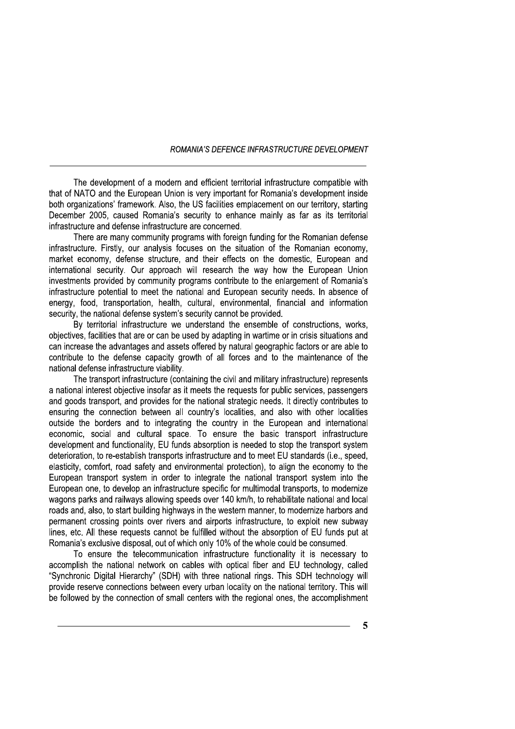The development of a modern and efficient territorial infrastructure compatible with that of NATO and the European Union is very important for Romania's development inside both organizations' framework. Also, the US facilities emplacement on our territory, starting December 2005, caused Romania's security to enhance mainly as far as its territorial infrastructure and defense infrastructure are concerned.

There are many community programs with foreign funding for the Romanian defense infrastructure. Firstly, our analysis focuses on the situation of the Romanian economy, market economy, defense structure, and their effects on the domestic. European and international security. Our approach will research the way how the European Union investments provided by community programs contribute to the enlargement of Romania's infrastructure potential to meet the national and European security needs. In absence of energy, food, transportation, health, cultural, environmental, financial and information security, the national defense system's security cannot be provided.

By territorial infrastructure we understand the ensemble of constructions, works, objectives, facilities that are or can be used by adapting in wartime or in crisis situations and can increase the advantages and assets offered by natural geographic factors or are able to contribute to the defense capacity growth of all forces and to the maintenance of the national defense infrastructure viability.

The transport infrastructure (containing the civil and military infrastructure) represents a national interest objective insofar as it meets the requests for public services, passengers and goods transport, and provides for the national strategic needs. It directly contributes to ensuring the connection between all country's localities, and also with other localities outside the borders and to integrating the country in the European and international economic, social and cultural space. To ensure the basic transport infrastructure development and functionality, EU funds absorption is needed to stop the transport system deterioration, to re-establish transports infrastructure and to meet EU standards (i.e., speed, elasticity, comfort, road safety and environmental protection), to align the economy to the European transport system in order to integrate the national transport system into the European one, to develop an infrastructure specific for multimodal transports, to modernize wagons parks and railways allowing speeds over 140 km/h, to rehabilitate national and local roads and, also, to start building highways in the western manner, to modernize harbors and permanent crossing points over rivers and airports infrastructure, to exploit new subway lines, etc. All these requests cannot be fulfilled without the absorption of EU funds put at Romania's exclusive disposal, out of which only 10% of the whole could be consumed.

To ensure the telecommunication infrastructure functionality it is necessary to accomplish the national network on cables with optical fiber and EU technology, called "Synchronic Digital Hierarchy" (SDH) with three national rings. This SDH technology will provide reserve connections between every urban locality on the national territory. This will be followed by the connection of small centers with the regional ones, the accomplishment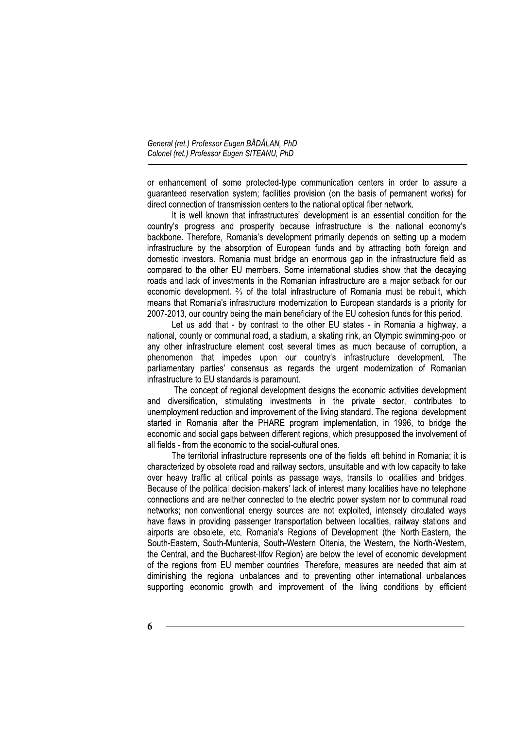or enhancement of some protected-type communication centers in order to assure a guaranteed reservation system; facilities provision (on the basis of permanent works) for direct connection of transmission centers to the national optical fiber network.

It is well known that infrastructures' development is an essential condition for the country's progress and prosperity because infrastructure is the national economy's backbone. Therefore, Romania's development primarily depends on setting up a modern infrastructure by the absorption of European funds and by attracting both foreign and domestic investors. Romania must bridge an enormous gap in the infrastructure field as compared to the other EU members. Some international studies show that the decaying roads and lack of investments in the Romanian infrastructure are a major setback for our economic development. <sup>2</sup>/<sub>3</sub> of the total infrastructure of Romania must be rebuilt, which means that Romania's infrastructure modernization to European standards is a priority for 2007-2013, our country being the main beneficiary of the EU cohesion funds for this period.

Let us add that - by contrast to the other EU states - in Romania a highway, a national, county or communal road, a stadium, a skating rink, an Olympic swimming-pool or any other infrastructure element cost several times as much because of corruption, a phenomenon that impedes upon our country's infrastructure development. The parliamentary parties' consensus as regards the urgent modernization of Romanian infrastructure to EU standards is paramount.

The concept of regional development designs the economic activities development and diversification, stimulating investments in the private sector, contributes to unemployment reduction and improvement of the living standard. The regional development started in Romania after the PHARE program implementation, in 1996, to bridge the economic and social gaps between different regions, which presupposed the involvement of all fields - from the economic to the social-cultural ones.

The territorial infrastructure represents one of the fields left behind in Romania; it is characterized by obsolete road and railway sectors, unsuitable and with low capacity to take over heavy traffic at critical points as passage ways, transits to localities and bridges. Because of the political decision-makers' lack of interest many localities have no telephone connections and are neither connected to the electric power system nor to communal road networks; non-conventional energy sources are not exploited, intensely circulated ways have flaws in providing passenger transportation between localities, railway stations and airports are obsolete, etc. Romania's Regions of Development (the North-Eastern, the South-Eastern, South-Muntenia, South-Western Oltenia, the Western, the North-Western, the Central, and the Bucharest-Ilfov Region) are below the level of economic development of the regions from EU member countries. Therefore, measures are needed that aim at diminishing the regional unbalances and to preventing other international unbalances supporting economic growth and improvement of the living conditions by efficient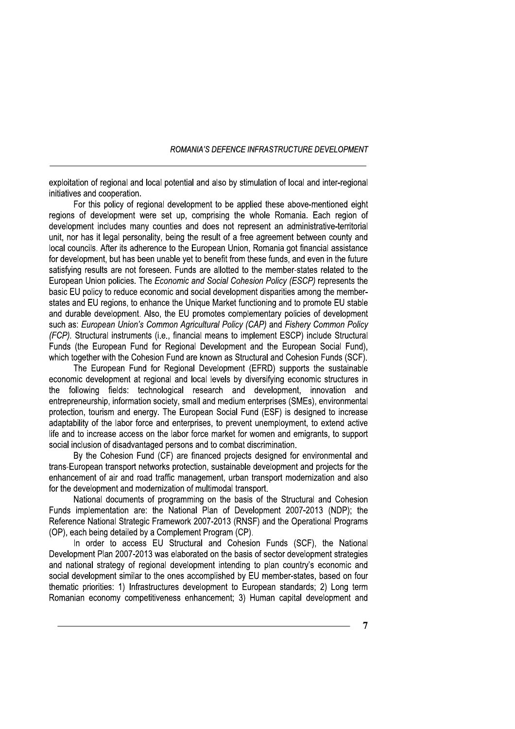exploitation of regional and local potential and also by stimulation of local and inter-regional initiatives and cooperation.

For this policy of regional development to be applied these above-mentioned eight regions of development were set up, comprising the whole Romania. Each region of development includes many counties and does not represent an administrative-territorial unit, nor has it legal personality, being the result of a free agreement between county and local councils. After its adherence to the European Union, Romania got financial assistance for development, but has been unable yet to benefit from these funds, and even in the future satisfying results are not foreseen. Funds are allotted to the member-states related to the European Union policies. The Economic and Social Cohesion Policy (ESCP) represents the basic EU policy to reduce economic and social development disparities among the memberstates and EU regions, to enhance the Unique Market functioning and to promote EU stable and durable development. Also, the EU promotes complementary policies of development such as: European Union's Common Agricultural Policy (CAP) and Fishery Common Policy (FCP). Structural instruments (i.e., financial means to implement ESCP) include Structural Funds (the European Fund for Regional Development and the European Social Fund), which together with the Cohesion Fund are known as Structural and Cohesion Funds (SCF).

The European Fund for Regional Development (EFRD) supports the sustainable economic development at regional and local levels by diversifying economic structures in the following fields: technological research and development, innovation and entrepreneurship, information society, small and medium enterprises (SMEs), environmental protection, tourism and energy. The European Social Fund (ESF) is designed to increase adaptability of the labor force and enterprises, to prevent unemployment, to extend active life and to increase access on the labor force market for women and emigrants, to support social inclusion of disadvantaged persons and to combat discrimination.

By the Cohesion Fund (CF) are financed projects designed for environmental and trans-European transport networks protection, sustainable development and projects for the enhancement of air and road traffic management, urban transport modernization and also for the development and modernization of multimodal transport.

National documents of programming on the basis of the Structural and Cohesion Funds implementation are: the National Plan of Development 2007-2013 (NDP); the Reference National Strategic Framework 2007-2013 (RNSF) and the Operational Programs (OP), each being detailed by a Complement Program (CP).

In order to access EU Structural and Cohesion Funds (SCF), the National Development Plan 2007-2013 was elaborated on the basis of sector development strategies and national strategy of regional development intending to plan country's economic and social development similar to the ones accomplished by EU member-states, based on four thematic priorities: 1) Infrastructures development to European standards; 2) Long term Romanian economy competitiveness enhancement; 3) Human capital development and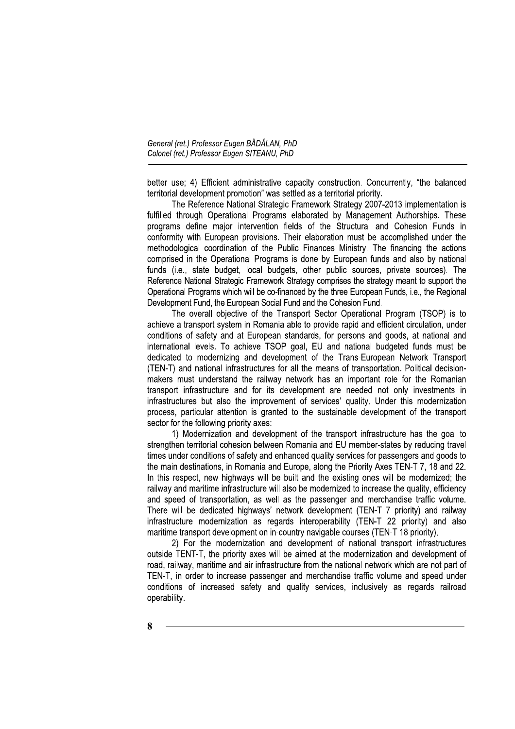better use; 4) Efficient administrative capacity construction. Concurrently, "the balanced territorial development promotion" was settled as a territorial priority.

The Reference National Strategic Framework Strategy 2007-2013 implementation is fulfilled through Operational Programs elaborated by Management Authorships. These programs define major intervention fields of the Structural and Cohesion Funds in conformity with European provisions. Their elaboration must be accomplished under the methodological coordination of the Public Finances Ministry. The financing the actions comprised in the Operational Programs is done by European funds and also by national funds (i.e., state budget, local budgets, other public sources, private sources). The Reference National Strategic Framework Strategy comprises the strategy meant to support the Operational Programs which will be co-financed by the three European Funds, i.e., the Regional Development Fund, the European Social Fund and the Cohesion Fund.

The overall objective of the Transport Sector Operational Program (TSOP) is to achieve a transport system in Romania able to provide rapid and efficient circulation, under conditions of safety and at European standards, for persons and goods, at national and international levels. To achieve TSOP goal, EU and national budgeted funds must be dedicated to modernizing and development of the Trans-European Network Transport (TEN-T) and national infrastructures for all the means of transportation. Political decisionmakers must understand the railway network has an important role for the Romanian transport infrastructure and for its development are needed not only investments in infrastructures but also the improvement of services' quality. Under this modernization process, particular attention is granted to the sustainable development of the transport sector for the following priority axes:

1) Modernization and development of the transport infrastructure has the goal to strengthen territorial cohesion between Romania and EU member-states by reducing travel times under conditions of safety and enhanced quality services for passengers and goods to the main destinations, in Romania and Europe, along the Priority Axes TEN-T 7, 18 and 22. In this respect, new highways will be built and the existing ones will be modernized; the railway and maritime infrastructure will also be modernized to increase the quality, efficiency and speed of transportation, as well as the passenger and merchandise traffic volume. There will be dedicated highways' network development (TEN-T 7 priority) and railway infrastructure modernization as regards interoperability (TEN-T 22 priority) and also maritime transport development on in-country navigable courses (TEN-T 18 priority).

2) For the modernization and development of national transport infrastructures outside TENT-T, the priority axes will be aimed at the modernization and development of road, railway, maritime and air infrastructure from the national network which are not part of TEN-T, in order to increase passenger and merchandise traffic volume and speed under conditions of increased safety and quality services, inclusively as regards railroad operability.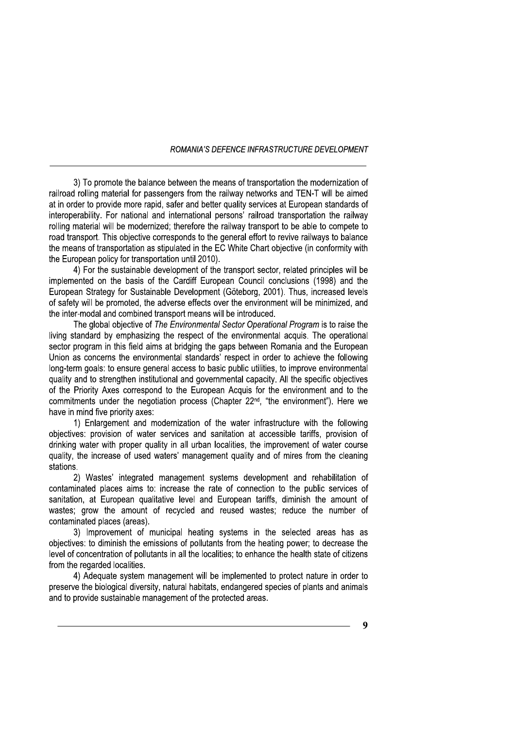3) To promote the balance between the means of transportation the modernization of railroad rolling material for passengers from the railway networks and TEN-T will be aimed at in order to provide more rapid, safer and better quality services at European standards of interoperability. For national and international persons' railroad transportation the railway rolling material will be modernized; therefore the railway transport to be able to compete to road transport. This objective corresponds to the general effort to revive railways to balance the means of transportation as stipulated in the EC White Chart objective (in conformity with the European policy for transportation until 2010).

4) For the sustainable development of the transport sector, related principles will be implemented on the basis of the Cardiff European Council conclusions (1998) and the European Strategy for Sustainable Development (Göteborg, 2001). Thus, increased levels of safety will be promoted, the adverse effects over the environment will be minimized, and the inter-modal and combined transport means will be introduced.

The global objective of The Environmental Sector Operational Program is to raise the living standard by emphasizing the respect of the environmental acquis. The operational sector program in this field aims at bridging the gaps between Romania and the European Union as concerns the environmental standards' respect in order to achieve the following long-term goals: to ensure general access to basic public utilities, to improve environmental quality and to strengthen institutional and governmental capacity. All the specific objectives of the Priority Axes correspond to the European Acquis for the environment and to the commitments under the negotiation process (Chapter 22<sup>nd</sup>, "the environment"). Here we have in mind five priority axes:

1) Enlargement and modernization of the water infrastructure with the following objectives: provision of water services and sanitation at accessible tariffs, provision of drinking water with proper quality in all urban localities, the improvement of water course quality, the increase of used waters' management quality and of mires from the cleaning stations.

2) Wastes' integrated management systems development and rehabilitation of contaminated places aims to: increase the rate of connection to the public services of sanitation, at European qualitative level and European tariffs, diminish the amount of wastes; grow the amount of recycled and reused wastes; reduce the number of contaminated places (areas).

3) Improvement of municipal heating systems in the selected areas has as objectives: to diminish the emissions of pollutants from the heating power; to decrease the level of concentration of pollutants in all the localities; to enhance the health state of citizens from the regarded localities.

4) Adequate system management will be implemented to protect nature in order to preserve the biological diversity, natural habitats, endangered species of plants and animals and to provide sustainable management of the protected areas.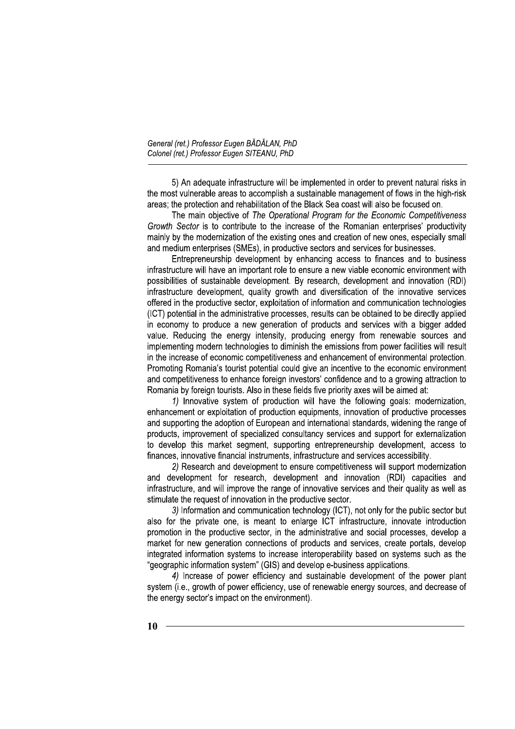5) An adequate infrastructure will be implemented in order to prevent natural risks in the most vulnerable areas to accomplish a sustainable management of flows in the high-risk areas: the protection and rehabilitation of the Black Sea coast will also be focused on.

The main objective of The Operational Program for the Economic Competitiveness Growth Sector is to contribute to the increase of the Romanian enterprises' productivity mainly by the modernization of the existing ones and creation of new ones, especially small and medium enterprises (SMEs), in productive sectors and services for businesses.

Entrepreneurship development by enhancing access to finances and to business infrastructure will have an important role to ensure a new viable economic environment with possibilities of sustainable development. By research, development and innovation (RDI) infrastructure development, quality growth and diversification of the innovative services offered in the productive sector, exploitation of information and communication technologies (ICT) potential in the administrative processes, results can be obtained to be directly applied in economy to produce a new generation of products and services with a bigger added value. Reducing the energy intensity, producing energy from renewable sources and implementing modern technologies to diminish the emissions from power facilities will result in the increase of economic competitiveness and enhancement of environmental protection. Promoting Romania's tourist potential could give an incentive to the economic environment and competitiveness to enhance foreign investors' confidence and to a growing attraction to Romania by foreign tourists. Also in these fields five priority axes will be aimed at:

1) Innovative system of production will have the following goals: modernization, enhancement or exploitation of production equipments, innovation of productive processes and supporting the adoption of European and international standards, widening the range of products, improvement of specialized consultancy services and support for externalization to develop this market segment, supporting entrepreneurship development, access to finances, innovative financial instruments, infrastructure and services accessibility.

2) Research and development to ensure competitiveness will support modernization and development for research, development and innovation (RDI) capacities and infrastructure, and will improve the range of innovative services and their quality as well as stimulate the request of innovation in the productive sector.

3) Information and communication technology (ICT), not only for the public sector but also for the private one, is meant to enlarge ICT infrastructure, innovate introduction promotion in the productive sector, in the administrative and social processes, develop a market for new generation connections of products and services, create portals, develop integrated information systems to increase interoperability based on systems such as the "geographic information system" (GIS) and develop e-business applications.

4) Increase of power efficiency and sustainable development of the power plant system (i.e., growth of power efficiency, use of renewable energy sources, and decrease of the energy sector's impact on the environment).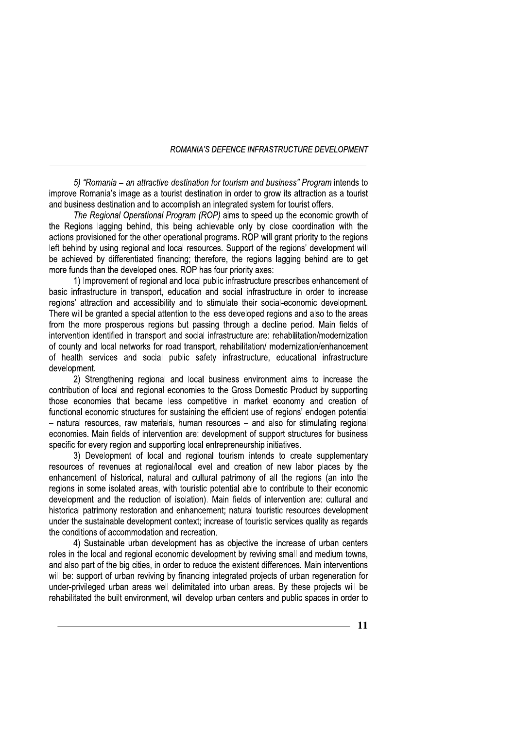5) "Romania – an attractive destination for tourism and business" Program intends to improve Romania's image as a tourist destination in order to grow its attraction as a tourist and business destination and to accomplish an integrated system for tourist offers.

ROMANIA'S DEFENCE INFRAS<br>
"Romania – an attractive destination for tourism and bu<br>
Somania's image as a tourist destination in order to grow<br>
the Somania's image as a tourist destination in order to grow<br>
Persional Operati ROMANIA'S DEFENCE INFRASTRUCTURE DEVE MANIA'S DEFENCE INFRASTRUCTURE DEVELOPMENT<br>
stination for tourism and business" Program intends to<br>
tt destination in order to grow its attraction as a tourist<br>
mplish an integrated system for tourist offers.<br>
gram (ROP) a The Regional Operational Program (ROP) aims to speed up the economic growth of the Regions lagging behind, this being achievable only by close coordination with the actions provisioned for the other operational programs. ROP will grant priority to the regions left behind by using regional and local resources. Support of the regions' development will be achieved by differentiated financing; therefore, the regions lagging behind are to get more funds than the developed ones. ROP has four priority axes:

1) Improvement of regional and local public infrastructure prescribes enhancement of basic infrastructure in transport, education and social infrastructure in order to increase regions' attraction and accessibility and to stimulate their social-economic development. There will be granted a special attention to the less developed regions and also to the areas from the more prosperous regions but passing through a decline period. Main fields of intervention identified in transport and social infrastructure are: rehabilitation/modernization of county and local networks for road transport, rehabilitation/ modernization/enhancement of health services and social public safety infrastructure, educational infrastructure development.

2) Strenathening regional and local business environment aims to increase the contribution of local and regional economies to the Gross Domestic Product by supporting those economies that became less competitive in market economy and creation of functional economic structures for sustaining the efficient use of regions' endogen potential - natural resources, raw materials, human resources - and also for stimulating regional economies. Main fields of intervention are: development of support structures for business specific for every region and supporting local entrepreneurship initiatives.

3) Development of local and regional tourism intends to create supplementary resources of revenues at regional/local level and creation of new labor places by the enhancement of historical, natural and cultural patrimony of all the regions (an into the regions in some isolated areas, with touristic potential able to contribute to their economic development and the reduction of isolation). Main fields of intervention are: cultural and historical patrimony restoration and enhancement; natural touristic resources development under the sustainable development context; increase of touristic services quality as regards the conditions of accommodation and recreation.

4) Sustainable urban development has as objective the increase of urban centers roles in the local and regional economic development by reviving small and medium towns, and also part of the big cities, in order to reduce the existent differences. Main interventions will be: support of urban reviving by financing integrated projects of urban regeneration for under-privileged urban areas well delimitated into urban areas. By these projects will be rehabilitated the built environment, will develop urban centers and public spaces in order to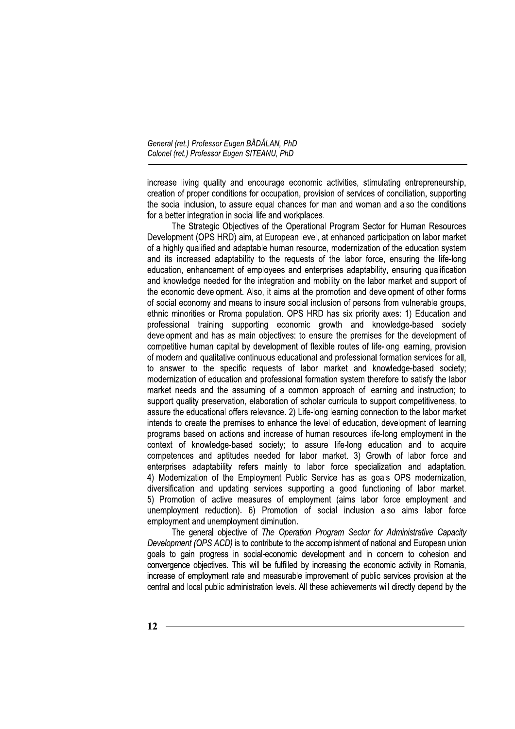increase living quality and encourage economic activities, stimulating entrepreneurship, creation of proper conditions for occupation, provision of services of conciliation, supporting the social inclusion, to assure equal chances for man and woman and also the conditions for a better integration in social life and workplaces.

The Strategic Objectives of the Operational Program Sector for Human Resources Development (OPS HRD) aim, at European level, at enhanced participation on labor market of a highly qualified and adaptable human resource, modernization of the education system and its increased adaptability to the requests of the labor force, ensuring the life-long education, enhancement of employees and enterprises adaptability, ensuring qualification and knowledge needed for the integration and mobility on the labor market and support of the economic development. Also, it aims at the promotion and development of other forms of social economy and means to insure social inclusion of persons from vulnerable groups. ethnic minorities or Rroma population. OPS HRD has six priority axes: 1) Education and professional training supporting economic growth and knowledge-based society development and has as main objectives: to ensure the premises for the development of competitive human capital by development of flexible routes of life-long learning, provision of modern and qualitative continuous educational and professional formation services for all. to answer to the specific requests of labor market and knowledge-based society; modernization of education and professional formation system therefore to satisfy the labor market needs and the assuming of a common approach of learning and instruction; to support quality preservation, elaboration of scholar curricula to support competitiveness, to assure the educational offers relevance. 2) Life-long learning connection to the labor market intends to create the premises to enhance the level of education, development of learning programs based on actions and increase of human resources life-long employment in the context of knowledge-based society; to assure life-long education and to acquire competences and aptitudes needed for labor market. 3) Growth of labor force and enterprises adaptability refers mainly to labor force specialization and adaptation. 4) Modernization of the Employment Public Service has as goals OPS modernization, diversification and updating services supporting a good functioning of labor market. 5) Promotion of active measures of employment (aims labor force employment and unemployment reduction). 6) Promotion of social inclusion also aims labor force employment and unemployment diminution.

The general objective of The Operation Program Sector for Administrative Capacity Development (OPS ACD) is to contribute to the accomplishment of national and European union goals to gain progress in social-economic development and in concern to cohesion and convergence objectives. This will be fulfilled by increasing the economic activity in Romania, increase of employment rate and measurable improvement of public services provision at the central and local public administration levels. All these achievements will directly depend by the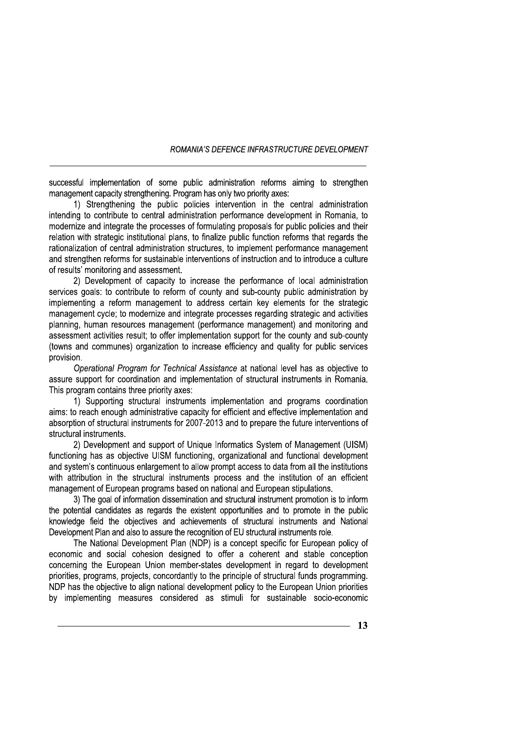successful implementation of some public administration reforms aiming to strengthen management capacity strengthening. Program has only two priority axes:

1) Strengthening the public policies intervention in the central administration intending to contribute to central administration performance development in Romania, to modernize and integrate the processes of formulating proposals for public policies and their relation with strategic institutional plans, to finalize public function reforms that regards the rationalization of central administration structures, to implement performance management and strengthen reforms for sustainable interventions of instruction and to introduce a culture of results' monitoring and assessment.

2) Development of capacity to increase the performance of local administration services goals: to contribute to reform of county and sub-county public administration by implementing a reform management to address certain key elements for the strategic management cycle; to modernize and integrate processes regarding strategic and activities planning, human resources management (performance management) and monitoring and assessment activities result; to offer implementation support for the county and sub-county (towns and communes) organization to increase efficiency and quality for public services provision.

Operational Program for Technical Assistance at national level has as objective to assure support for coordination and implementation of structural instruments in Romania. This program contains three priority axes:

1) Supporting structural instruments implementation and programs coordination aims: to reach enough administrative capacity for efficient and effective implementation and absorption of structural instruments for 2007-2013 and to prepare the future interventions of structural instruments.

2) Development and support of Unique Informatics System of Management (UISM) functioning has as objective UISM functioning, organizational and functional development and system's continuous enlargement to allow prompt access to data from all the institutions with attribution in the structural instruments process and the institution of an efficient management of European programs based on national and European stipulations.

3) The goal of information dissemination and structural instrument promotion is to inform the potential candidates as regards the existent opportunities and to promote in the public knowledge field the objectives and achievements of structural instruments and National Development Plan and also to assure the recognition of EU structural instruments role.

The National Development Plan (NDP) is a concept specific for European policy of economic and social cohesion designed to offer a coherent and stable conception concerning the European Union member-states development in regard to development priorities, programs, projects, concordantly to the principle of structural funds programming. NDP has the objective to align national development policy to the European Union priorities by implementing measures considered as stimuli for sustainable socio-economic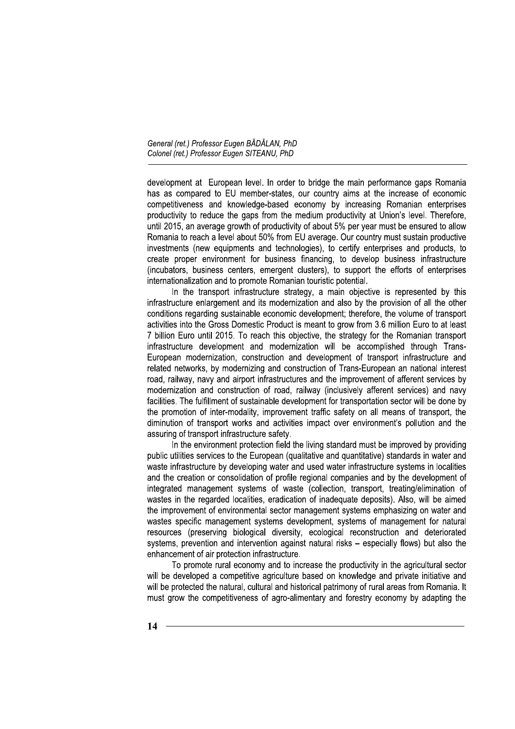development at European level. In order to bridge the main performance gaps Romania has as compared to EU member-states, our country aims at the increase of economic competitiveness and knowledge-based economy by increasing Romanian enterprises productivity to reduce the gaps from the medium productivity at Union's level. Therefore, until 2015, an average growth of productivity of about 5% per year must be ensured to allow Romania to reach a level about 50% from EU average. Our country must sustain productive investments (new equipments and technologies), to certify enterprises and products, to create proper environment for business financing, to develop business infrastructure (incubators, business centers, emergent clusters), to support the efforts of enterprises internationalization and to promote Romanian touristic potential.

In the transport infrastructure strategy, a main objective is represented by this infrastructure enlargement and its modernization and also by the provision of all the other conditions regarding sustainable economic development; therefore, the volume of transport activities into the Gross Domestic Product is meant to grow from 3.6 million Euro to at least 7 billion Euro until 2015. To reach this objective, the strategy for the Romanian transport infrastructure development and modernization will be accomplished through Trans-European modernization, construction and development of transport infrastructure and related networks, by modernizing and construction of Trans-European an national interest road, railway, navy and airport infrastructures and the improvement of afferent services by modernization and construction of road, railway (inclusively afferent services) and navy facilities. The fulfillment of sustainable development for transportation sector will be done by the promotion of inter-modality, improvement traffic safety on all means of transport, the diminution of transport works and activities impact over environment's pollution and the assuring of transport infrastructure safety.

In the environment protection field the living standard must be improved by providing public utilities services to the European (qualitative and quantitative) standards in water and waste infrastructure by developing water and used water infrastructure systems in localities and the creation or consolidation of profile regional companies and by the development of integrated management systems of waste (collection, transport, treating/elimination of wastes in the regarded localities, eradication of inadequate deposits). Also, will be aimed the improvement of environmental sector management systems emphasizing on water and wastes specific management systems development, systems of management for natural resources (preserving biological diversity, ecological reconstruction and deteriorated systems, prevention and intervention against natural risks – especially flows) but also the enhancement of air protection infrastructure.

To promote rural economy and to increase the productivity in the agricultural sector will be developed a competitive agriculture based on knowledge and private initiative and will be protected the natural, cultural and historical patrimony of rural areas from Romania. It must grow the competitiveness of agro-alimentary and forestry economy by adapting the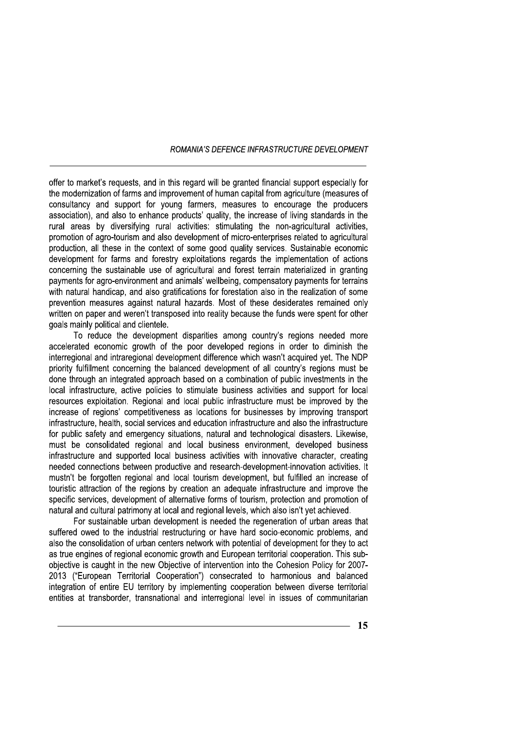offer to market's requests, and in this regard will be granted financial support especially for the modernization of farms and improvement of human capital from agriculture (measures of consultancy and support for young farmers, measures to encourage the producers association), and also to enhance products' quality, the increase of living standards in the rural areas by diversifying rural activities: stimulating the non-agricultural activities. promotion of agro-tourism and also development of micro-enterprises related to agricultural production, all these in the context of some good quality services. Sustainable economic development for farms and forestry exploitations regards the implementation of actions concerning the sustainable use of agricultural and forest terrain materialized in granting payments for agro-environment and animals' wellbeing, compensatory payments for terrains with natural handicap, and also gratifications for forestation also in the realization of some prevention measures against natural hazards. Most of these desiderates remained only written on paper and weren't transposed into reality because the funds were spent for other goals mainly political and clientele.

To reduce the development disparities among country's regions needed more accelerated economic growth of the poor developed regions in order to diminish the interregional and intraregional development difference which wasn't acquired vet. The NDP priority fulfillment concerning the balanced development of all country's regions must be done through an integrated approach based on a combination of public investments in the local infrastructure, active policies to stimulate business activities and support for local resources exploitation. Regional and local public infrastructure must be improved by the increase of regions' competitiveness as locations for businesses by improving transport infrastructure, health, social services and education infrastructure and also the infrastructure for public safety and emergency situations, natural and technological disasters. Likewise, must be consolidated regional and local business environment, developed business infrastructure and supported local business activities with innovative character, creating needed connections between productive and research-development-innovation activities. It mustn't be forgotten regional and local tourism development, but fulfilled an increase of touristic attraction of the regions by creation an adequate infrastructure and improve the specific services, development of alternative forms of tourism, protection and promotion of natural and cultural patrimony at local and regional levels, which also isn't yet achieved.

For sustainable urban development is needed the regeneration of urban areas that suffered owed to the industrial restructuring or have hard socio-economic problems, and also the consolidation of urban centers network with potential of development for they to act as true engines of regional economic growth and European territorial cooperation. This subobjective is caught in the new Objective of intervention into the Cohesion Policy for 2007-2013 ("European Territorial Cooperation") consecrated to harmonious and balanced integration of entire EU territory by implementing cooperation between diverse territorial entities at transborder, transnational and interregional level in issues of communitarian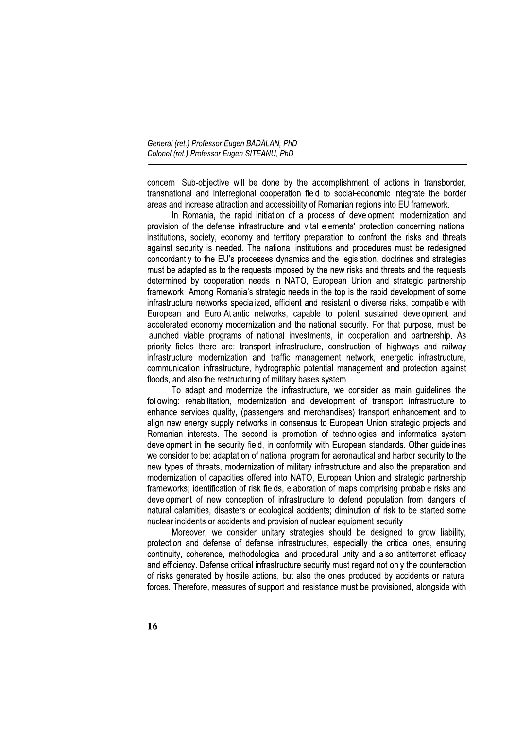concern. Sub-objective will be done by the accomplishment of actions in transborder, transnational and interregional cooperation field to social-economic integrate the border areas and increase attraction and accessibility of Romanian regions into EU framework.

In Romania, the rapid initiation of a process of development, modernization and provision of the defense infrastructure and vital elements' protection concerning national institutions, society, economy and territory preparation to confront the risks and threats against security is needed. The national institutions and procedures must be redesigned concordantly to the EU's processes dynamics and the legislation, doctrines and strategies must be adapted as to the requests imposed by the new risks and threats and the requests determined by cooperation needs in NATO. European Union and strategic partnership framework. Among Romania's strategic needs in the top is the rapid development of some infrastructure networks specialized, efficient and resistant o diverse risks, compatible with European and Euro-Atlantic networks, capable to potent sustained development and accelerated economy modernization and the national security. For that purpose, must be launched viable programs of national investments, in cooperation and partnership. As priority fields there are: transport infrastructure, construction of highways and railway infrastructure modernization and traffic management network, energetic infrastructure, communication infrastructure, hydrographic potential management and protection against floods, and also the restructuring of military bases system.

To adapt and modernize the infrastructure, we consider as main guidelines the following: rehabilitation, modernization and development of transport infrastructure to enhance services quality, (passengers and merchandises) transport enhancement and to align new energy supply networks in consensus to European Union strategic projects and Romanian interests. The second is promotion of technologies and informatics system development in the security field, in conformity with European standards. Other quidelines we consider to be: adaptation of national program for aeronautical and harbor security to the new types of threats, modernization of military infrastructure and also the preparation and modernization of capacities offered into NATO, European Union and strategic partnership frameworks: identification of risk fields, elaboration of maps comprising probable risks and development of new conception of infrastructure to defend population from dangers of natural calamities, disasters or ecological accidents; diminution of risk to be started some nuclear incidents or accidents and provision of nuclear equipment security.

Moreover, we consider unitary strategies should be designed to grow liability, protection and defense of defense infrastructures, especially the critical ones, ensuring continuity, coherence, methodological and procedural unity and also antiterrorist efficacy and efficiency. Defense critical infrastructure security must regard not only the counteraction of risks generated by hostile actions, but also the ones produced by accidents or natural forces. Therefore, measures of support and resistance must be provisioned, alongside with